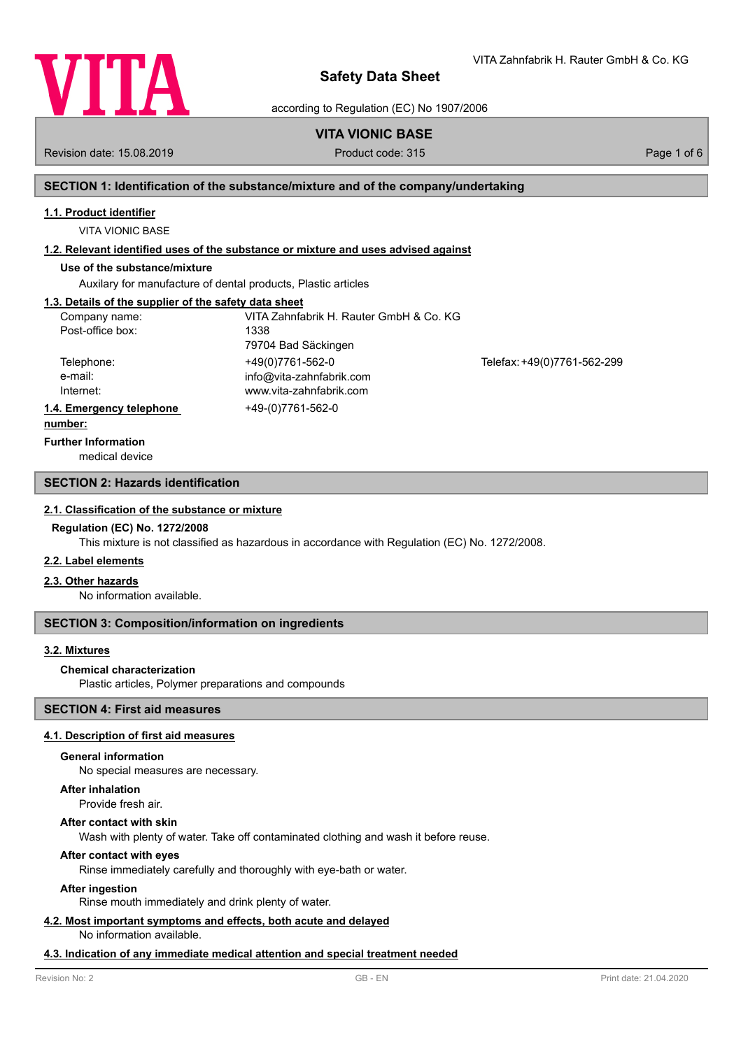

VITA Zahnfabrik H. Rauter GmbH & Co. KG

according to Regulation (EC) No 1907/2006

# **VITA VIONIC BASE**

Revision date: 15.08.2019 **Product code: 315** Product code: 315 **Page 1 of 6** Page 1 of 6

## **SECTION 1: Identification of the substance/mixture and of the company/undertaking**

### **1.1. Product identifier**

VITA VIONIC BASE

### **1.2. Relevant identified uses of the substance or mixture and uses advised against**

# **Use of the substance/mixture**

Auxilary for manufacture of dental products, Plastic articles

### **1.3. Details of the supplier of the safety data sheet**

| Company name:            | VITA Zahnfabrik H. Rauter GmbH & Co. KG |                             |
|--------------------------|-----------------------------------------|-----------------------------|
| Post-office box:         | 1338                                    |                             |
|                          | 79704 Bad Säckingen                     |                             |
| Telephone:               | +49(0)7761-562-0                        | Telefax: +49(0)7761-562-299 |
| e-mail:                  | info@vita-zahnfabrik.com                |                             |
| Internet:                | www.vita-zahnfabrik.com                 |                             |
| 1.4. Emergency telephone | +49-(0)7761-562-0                       |                             |
|                          |                                         |                             |

#### **number:**

**Further Information**

medical device

### **SECTION 2: Hazards identification**

#### **2.1. Classification of the substance or mixture**

#### **Regulation (EC) No. 1272/2008**

This mixture is not classified as hazardous in accordance with Regulation (EC) No. 1272/2008.

### **2.2. Label elements**

### **2.3. Other hazards**

No information available.

### **SECTION 3: Composition/information on ingredients**

### **3.2. Mixtures**

### **Chemical characterization**

Plastic articles, Polymer preparations and compounds

## **SECTION 4: First aid measures**

### **4.1. Description of first aid measures**

#### **General information**

No special measures are necessary.

#### **After inhalation**

Provide fresh air.

#### **After contact with skin**

Wash with plenty of water. Take off contaminated clothing and wash it before reuse.

### **After contact with eyes**

Rinse immediately carefully and thoroughly with eye-bath or water.

### **After ingestion**

Rinse mouth immediately and drink plenty of water.

# **4.2. Most important symptoms and effects, both acute and delayed**

No information available.

### **4.3. Indication of any immediate medical attention and special treatment needed**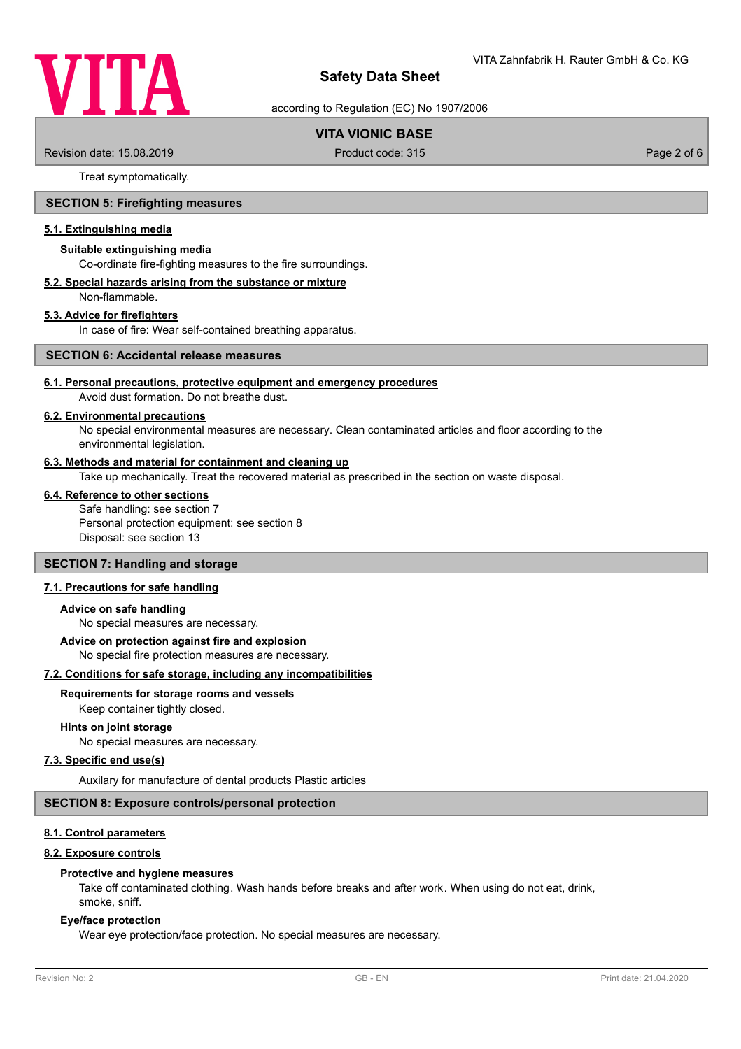

according to Regulation (EC) No 1907/2006

# **VITA VIONIC BASE**

Revision date: 15.08.2019 **Product code: 315** Product code: 315 **Page 2 of 6** Page 2 of 6

Treat symptomatically.

### **SECTION 5: Firefighting measures**

### **5.1. Extinguishing media**

#### **Suitable extinguishing media**

Co-ordinate fire-fighting measures to the fire surroundings.

#### **5.2. Special hazards arising from the substance or mixture**

Non-flammable.

### **5.3. Advice for firefighters**

In case of fire: Wear self-contained breathing apparatus.

#### **SECTION 6: Accidental release measures**

# **6.1. Personal precautions, protective equipment and emergency procedures**

Avoid dust formation. Do not breathe dust.

### **6.2. Environmental precautions**

No special environmental measures are necessary. Clean contaminated articles and floor according to the environmental legislation.

### **6.3. Methods and material for containment and cleaning up**

Take up mechanically. Treat the recovered material as prescribed in the section on waste disposal.

#### **6.4. Reference to other sections**

Safe handling: see section 7 Personal protection equipment: see section 8 Disposal: see section 13

# **SECTION 7: Handling and storage**

### **7.1. Precautions for safe handling**

#### **Advice on safe handling**

No special measures are necessary.

### **Advice on protection against fire and explosion**

No special fire protection measures are necessary.

### **7.2. Conditions for safe storage, including any incompatibilities**

# **Requirements for storage rooms and vessels**

Keep container tightly closed.

### **Hints on joint storage**

No special measures are necessary.

### **7.3. Specific end use(s)**

Auxilary for manufacture of dental products Plastic articles

### **SECTION 8: Exposure controls/personal protection**

### **8.1. Control parameters**

### **8.2. Exposure controls**

#### **Protective and hygiene measures**

Take off contaminated clothing. Wash hands before breaks and after work. When using do not eat, drink, smoke, sniff.

### **Eye/face protection**

Wear eye protection/face protection. No special measures are necessary.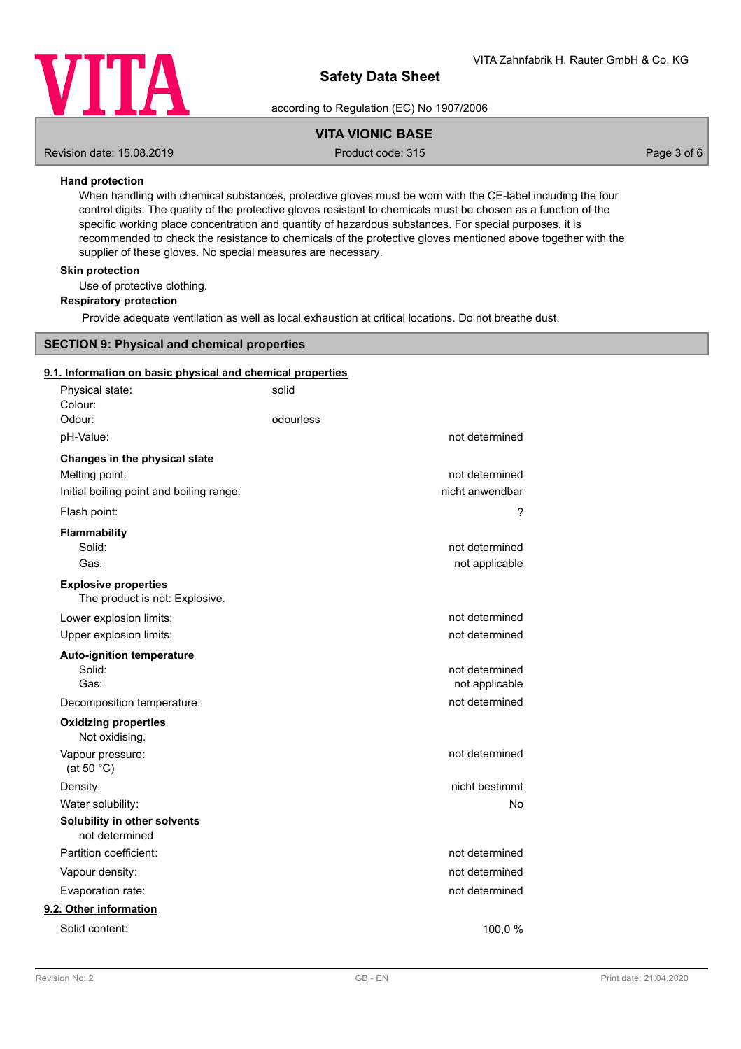

according to Regulation (EC) No 1907/2006

# **VITA VIONIC BASE**

Revision date: 15.08.2019 **Product code: 315** Product code: 315 **Page 3 of 6** Page 3 of 6

### **Hand protection**

When handling with chemical substances, protective gloves must be worn with the CE-label including the four control digits. The quality of the protective gloves resistant to chemicals must be chosen as a function of the specific working place concentration and quantity of hazardous substances. For special purposes, it is recommended to check the resistance to chemicals of the protective gloves mentioned above together with the supplier of these gloves. No special measures are necessary.

### **Skin protection**

Use of protective clothing.

### **Respiratory protection**

Provide adequate ventilation as well as local exhaustion at critical locations. Do not breathe dust.

### **SECTION 9: Physical and chemical properties**

#### **9.1. Information on basic physical and chemical properties**

| Physical state:<br>Colour:                                    | solid     |                 |
|---------------------------------------------------------------|-----------|-----------------|
| Odour:                                                        | odourless |                 |
| pH-Value:                                                     |           | not determined  |
| Changes in the physical state                                 |           |                 |
| Melting point:                                                |           | not determined  |
| Initial boiling point and boiling range:                      |           | nicht anwendbar |
| Flash point:                                                  |           | ?               |
| <b>Flammability</b>                                           |           |                 |
| Solid:<br>Gas:                                                |           | not determined  |
|                                                               |           | not applicable  |
| <b>Explosive properties</b><br>The product is not: Explosive. |           |                 |
| Lower explosion limits:                                       |           | not determined  |
| Upper explosion limits:                                       |           | not determined  |
| <b>Auto-ignition temperature</b>                              |           |                 |
| Solid:                                                        |           | not determined  |
| Gas:                                                          |           | not applicable  |
| Decomposition temperature:                                    |           | not determined  |
| <b>Oxidizing properties</b><br>Not oxidising.                 |           |                 |
| Vapour pressure:<br>(at 50 $°C$ )                             |           | not determined  |
| Density:                                                      |           | nicht bestimmt  |
| Water solubility:                                             |           | No              |
| Solubility in other solvents<br>not determined                |           |                 |
| Partition coefficient:                                        |           | not determined  |
| Vapour density:                                               |           | not determined  |
| Evaporation rate:                                             |           | not determined  |
| 9.2. Other information                                        |           |                 |
| Solid content:                                                |           | 100,0 %         |
|                                                               |           |                 |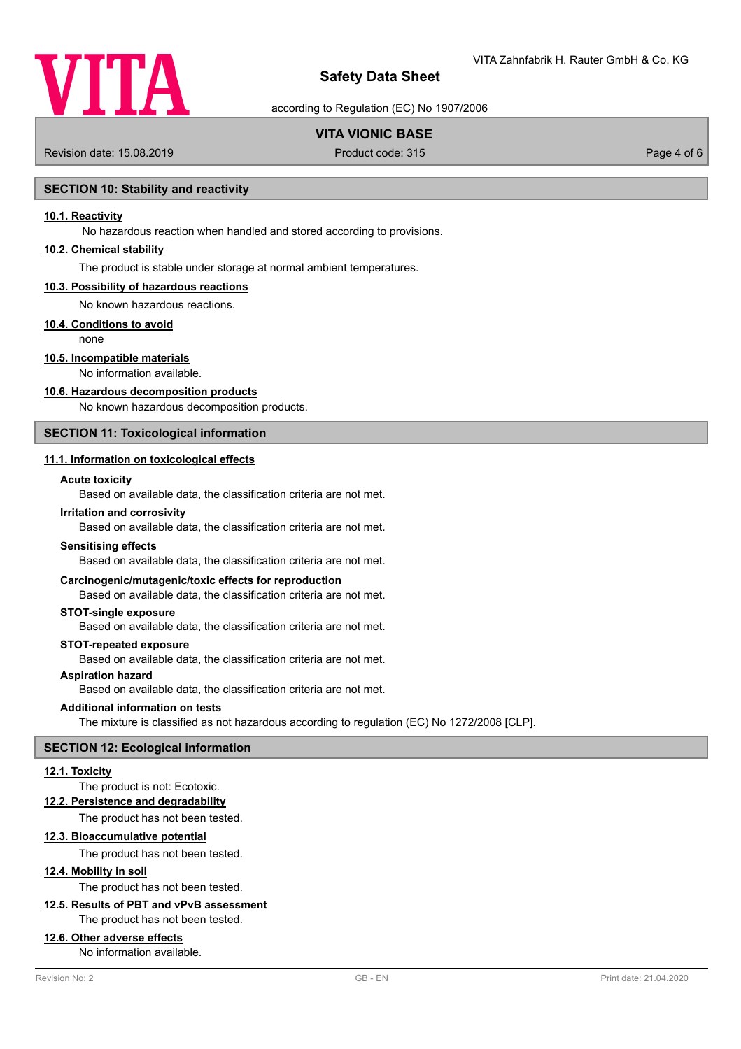

according to Regulation (EC) No 1907/2006

# **VITA VIONIC BASE**

Revision date: 15.08.2019 **Product code: 315** Product code: 315 **Page 4 of 6** 

### **SECTION 10: Stability and reactivity**

### **10.1. Reactivity**

No hazardous reaction when handled and stored according to provisions.

### **10.2. Chemical stability**

The product is stable under storage at normal ambient temperatures.

#### **10.3. Possibility of hazardous reactions**

No known hazardous reactions.

### **10.4. Conditions to avoid**

none

## **10.5. Incompatible materials**

No information available.

#### **10.6. Hazardous decomposition products**

No known hazardous decomposition products.

# **SECTION 11: Toxicological information**

## **11.1. Information on toxicological effects**

### **Acute toxicity**

Based on available data, the classification criteria are not met.

#### **Irritation and corrosivity**

Based on available data, the classification criteria are not met.

#### **Sensitising effects**

Based on available data, the classification criteria are not met.

### **Carcinogenic/mutagenic/toxic effects for reproduction**

Based on available data, the classification criteria are not met.

#### **STOT-single exposure**

Based on available data, the classification criteria are not met.

#### **STOT-repeated exposure**

Based on available data, the classification criteria are not met.

# **Aspiration hazard**

Based on available data, the classification criteria are not met.

#### **Additional information on tests**

The mixture is classified as not hazardous according to regulation (EC) No 1272/2008 [CLP].

### **SECTION 12: Ecological information**

#### **12.1. Toxicity**

### The product is not: Ecotoxic.

**12.2. Persistence and degradability**

The product has not been tested.

### **12.3. Bioaccumulative potential**

The product has not been tested.

# **12.4. Mobility in soil**

The product has not been tested.

# **12.5. Results of PBT and vPvB assessment**

The product has not been tested.

### **12.6. Other adverse effects**

No information available.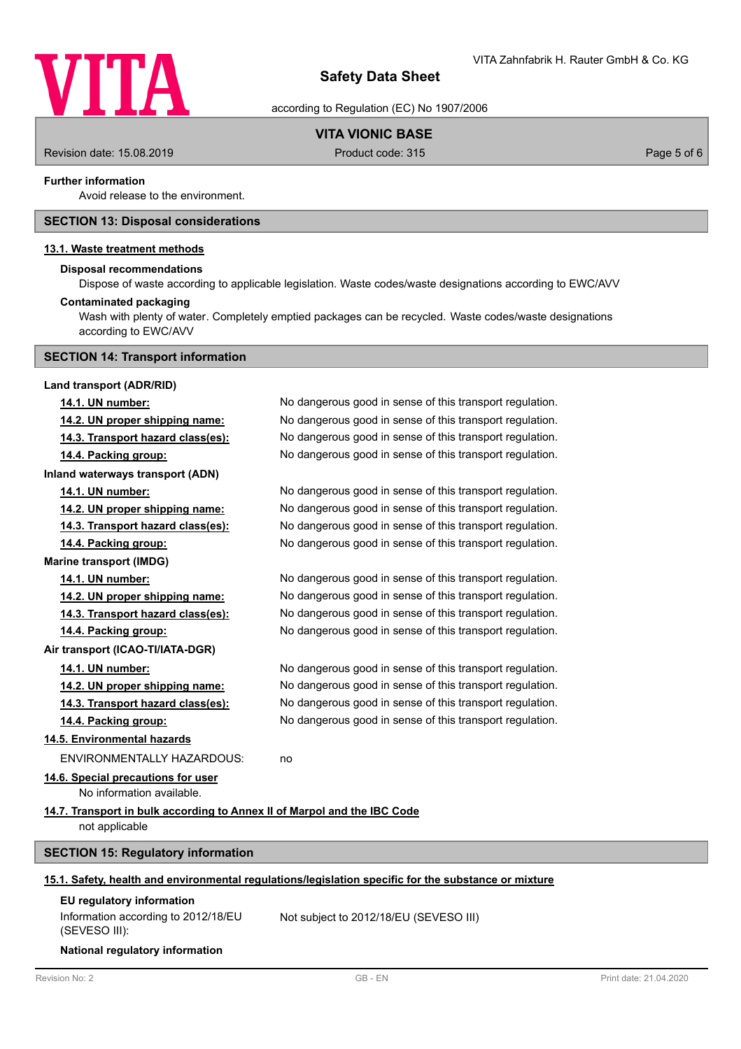

according to Regulation (EC) No 1907/2006

# **VITA VIONIC BASE**

Revision date: 15.08.2019 **Product code: 315** Product code: 315 **Page 5 of 6** Page 5 of 6

### **Further information**

Avoid release to the environment.

### **SECTION 13: Disposal considerations**

### **13.1. Waste treatment methods**

#### **Disposal recommendations**

Dispose of waste according to applicable legislation. Waste codes/waste designations according to EWC/AVV

### **Contaminated packaging**

Wash with plenty of water. Completely emptied packages can be recycled. Waste codes/waste designations according to EWC/AVV

### **SECTION 14: Transport information**

| Land transport (ADR/RID)                                                                             |                                                          |  |  |
|------------------------------------------------------------------------------------------------------|----------------------------------------------------------|--|--|
| 14.1. UN number:                                                                                     | No dangerous good in sense of this transport regulation. |  |  |
| 14.2. UN proper shipping name:                                                                       | No dangerous good in sense of this transport regulation. |  |  |
| 14.3. Transport hazard class(es):                                                                    | No dangerous good in sense of this transport regulation. |  |  |
| 14.4. Packing group:                                                                                 | No dangerous good in sense of this transport regulation. |  |  |
| Inland waterways transport (ADN)                                                                     |                                                          |  |  |
| 14.1. UN number:                                                                                     | No dangerous good in sense of this transport regulation. |  |  |
| 14.2. UN proper shipping name:                                                                       | No dangerous good in sense of this transport regulation. |  |  |
| 14.3. Transport hazard class(es):                                                                    | No dangerous good in sense of this transport regulation. |  |  |
| 14.4. Packing group:                                                                                 | No dangerous good in sense of this transport regulation. |  |  |
| <b>Marine transport (IMDG)</b>                                                                       |                                                          |  |  |
| 14.1. UN number:                                                                                     | No dangerous good in sense of this transport regulation. |  |  |
| 14.2. UN proper shipping name:                                                                       | No dangerous good in sense of this transport regulation. |  |  |
| 14.3. Transport hazard class(es):                                                                    | No dangerous good in sense of this transport regulation. |  |  |
| 14.4. Packing group:                                                                                 | No dangerous good in sense of this transport regulation. |  |  |
| Air transport (ICAO-TI/IATA-DGR)                                                                     |                                                          |  |  |
| 14.1. UN number:                                                                                     | No dangerous good in sense of this transport regulation. |  |  |
| 14.2. UN proper shipping name:                                                                       | No dangerous good in sense of this transport regulation. |  |  |
| 14.3. Transport hazard class(es):                                                                    | No dangerous good in sense of this transport regulation. |  |  |
| 14.4. Packing group:                                                                                 | No dangerous good in sense of this transport regulation. |  |  |
| 14.5. Environmental hazards                                                                          |                                                          |  |  |
| <b>ENVIRONMENTALLY HAZARDOUS:</b>                                                                    | no                                                       |  |  |
| 14.6. Special precautions for user<br>No information available.                                      |                                                          |  |  |
| 14.7. Transport in bulk according to Annex II of Marpol and the IBC Code<br>not applicable           |                                                          |  |  |
| <b>SECTION 15: Regulatory information</b>                                                            |                                                          |  |  |
| 15.1. Safety, health and environmental regulations/legislation specific for the substance or mixture |                                                          |  |  |
| EU regulatory information<br>Information according to 2012/18/EU<br>(SEVESO III):                    | Not subject to 2012/18/EU (SEVESO III)                   |  |  |

**National regulatory information**